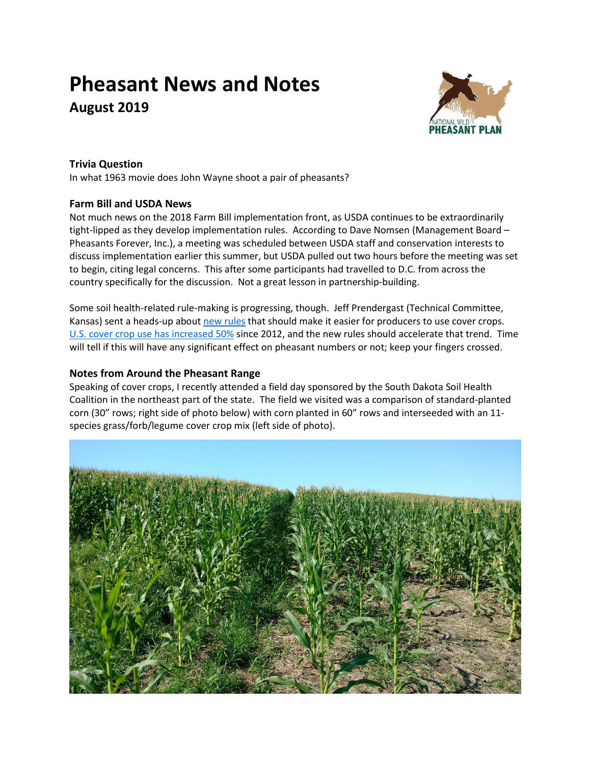# **Pheasant News and Notes August 2019**



## **Trivia Question**

In what 1963 movie does John Wayne shoot a pair of pheasants?

## **Farm Bill and USDA News**

Not much news on the 2018 Farm Bill implementation front, as USDA continues to be extraordinarily tight-lipped as they develop implementation rules. According to Dave Nomsen (Management Board – Pheasants Forever, Inc.), a meeting was scheduled between USDA staff and conservation interests to discuss implementation earlier this summer, but USDA pulled out two hours before the meeting was set to begin, citing legal concerns. This after some participants had travelled to D.C. from across the country specifically for the discussion. Not a great lesson in partnership-building.

Some soil health-related rule-making is progressing, though. Jeff Prendergast (Technical Committee, Kansas) sent a heads-up about [new rules](http://sustainableagriculture.net/blog/usda-updates-cover-crop-termination/?utm_source=feedburner&utm_medium=email&utm_campaign=Feed%3A+SustainableAgricultureCoalition+%28National+Sustainable+Agriculture+Coalition+%28NSAC%29%29) that should make it easier for producers to use cover crops. [U.S. cover crop use has increased](https://farmdocdaily.illinois.edu/2019/07/cover-crops-2017-us-census-of-agriculture.html) 50% since 2012, and the new rules should accelerate that trend. Time will tell if this will have any significant effect on pheasant numbers or not; keep your fingers crossed.

## **Notes from Around the Pheasant Range**

Speaking of cover crops, I recently attended a field day sponsored by the South Dakota Soil Health Coalition in the northeast part of the state. The field we visited was a comparison of standard-planted corn (30" rows; right side of photo below) with corn planted in 60" rows and interseeded with an 11 species grass/forb/legume cover crop mix (left side of photo).

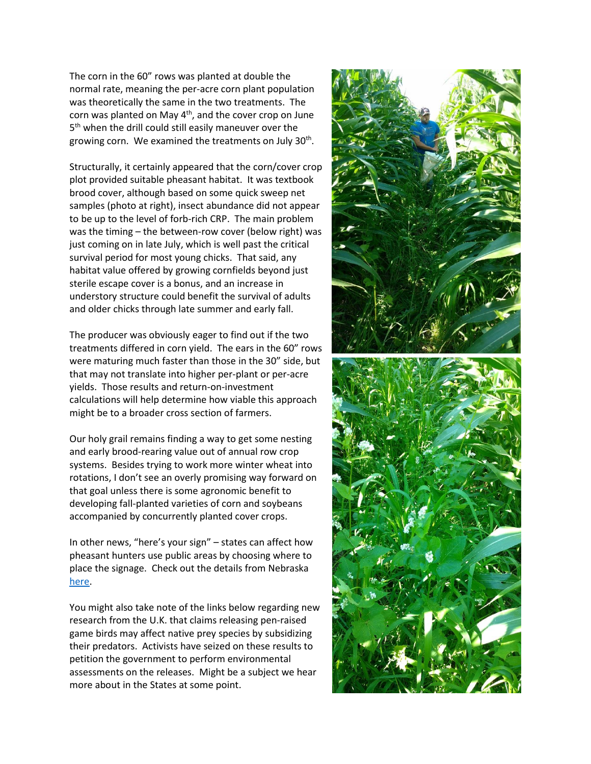The corn in the 60" rows was planted at double the normal rate, meaning the per-acre corn plant population was theoretically the same in the two treatments. The corn was planted on May 4<sup>th</sup>, and the cover crop on June 5<sup>th</sup> when the drill could still easily maneuver over the growing corn. We examined the treatments on July 30<sup>th</sup>.

Structurally, it certainly appeared that the corn/cover crop plot provided suitable pheasant habitat. It was textbook brood cover, although based on some quick sweep net samples (photo at right), insect abundance did not appear to be up to the level of forb-rich CRP. The main problem was the timing – the between-row cover (below right) was just coming on in late July, which is well past the critical survival period for most young chicks. That said, any habitat value offered by growing cornfields beyond just sterile escape cover is a bonus, and an increase in understory structure could benefit the survival of adults and older chicks through late summer and early fall.

The producer was obviously eager to find out if the two treatments differed in corn yield. The ears in the 60" rows were maturing much faster than those in the 30" side, but that may not translate into higher per-plant or per-acre yields. Those results and return-on-investment calculations will help determine how viable this approach might be to a broader cross section of farmers.

Our holy grail remains finding a way to get some nesting and early brood-rearing value out of annual row crop systems. Besides trying to work more winter wheat into rotations, I don't see an overly promising way forward on that goal unless there is some agronomic benefit to developing fall-planted varieties of corn and soybeans accompanied by concurrently planted cover crops.

In other news, "here's your sign" – states can affect how pheasant hunters use public areas by choosing where to place the signage. Check out the details from Nebraska [here.](https://doi.org/10.2981/wlb.00526)

You might also take note of the links below regarding new research from the U.K. that claims releasing pen-raised game birds may affect native prey species by subsidizing their predators. Activists have seized on these results to petition the government to perform environmental assessments on the releases. Might be a subject we hear more about in the States at some point.